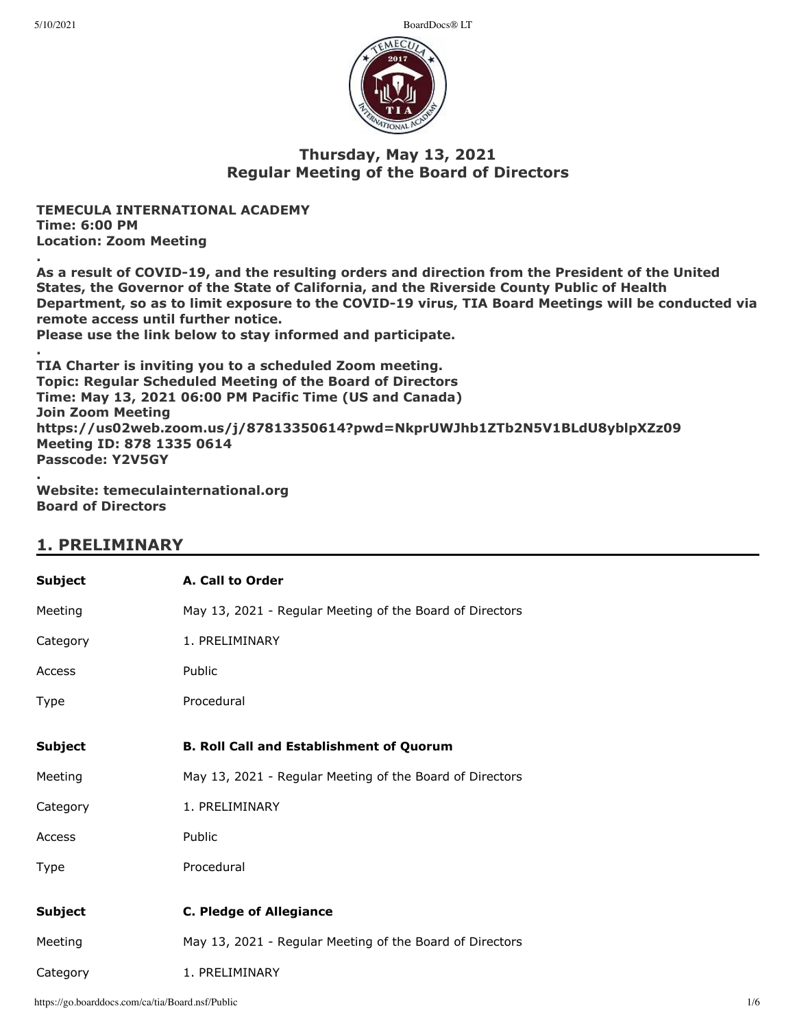5/10/2021 BoardDocs® LT



# **Thursday, May 13, 2021 Regular Meeting of the Board of Directors**

**TEMECULA INTERNATIONAL ACADEMY Time: 6:00 PM Location: Zoom Meeting**

**. As a result of COVID-19, and the resulting orders and direction from the President of the United States, the Governor of the State of California, and the Riverside County Public of Health Department, so as to limit exposure to the COVID-19 virus, TIA Board Meetings will be conducted via remote access until further notice.**

**Please use the link below to stay informed and participate.**

**. TIA Charter is inviting you to a scheduled Zoom meeting. Topic: Regular Scheduled Meeting of the Board of Directors Time: May 13, 2021 06:00 PM Pacific Time (US and Canada) Join Zoom Meeting https://us02web.zoom.us/j/87813350614?pwd=NkprUWJhb1ZTb2N5V1BLdU8yblpXZz09 Meeting ID: 878 1335 0614 Passcode: Y2V5GY .**

**Website: temeculainternational.org Board of Directors**

# **1. PRELIMINARY**

| <b>Subject</b> | A. Call to Order                                         |
|----------------|----------------------------------------------------------|
| Meeting        | May 13, 2021 - Regular Meeting of the Board of Directors |
| Category       | 1. PRELIMINARY                                           |
| Access         | Public                                                   |
| Type           | Procedural                                               |
|                |                                                          |
| <b>Subject</b> | <b>B. Roll Call and Establishment of Quorum</b>          |
| Meeting        | May 13, 2021 - Regular Meeting of the Board of Directors |
| Category       | 1. PRELIMINARY                                           |
| Access         | Public                                                   |
| Type           | Procedural                                               |
|                |                                                          |
| <b>Subject</b> | <b>C. Pledge of Allegiance</b>                           |
| Meeting        | May 13, 2021 - Regular Meeting of the Board of Directors |
| Category       | 1. PRELIMINARY                                           |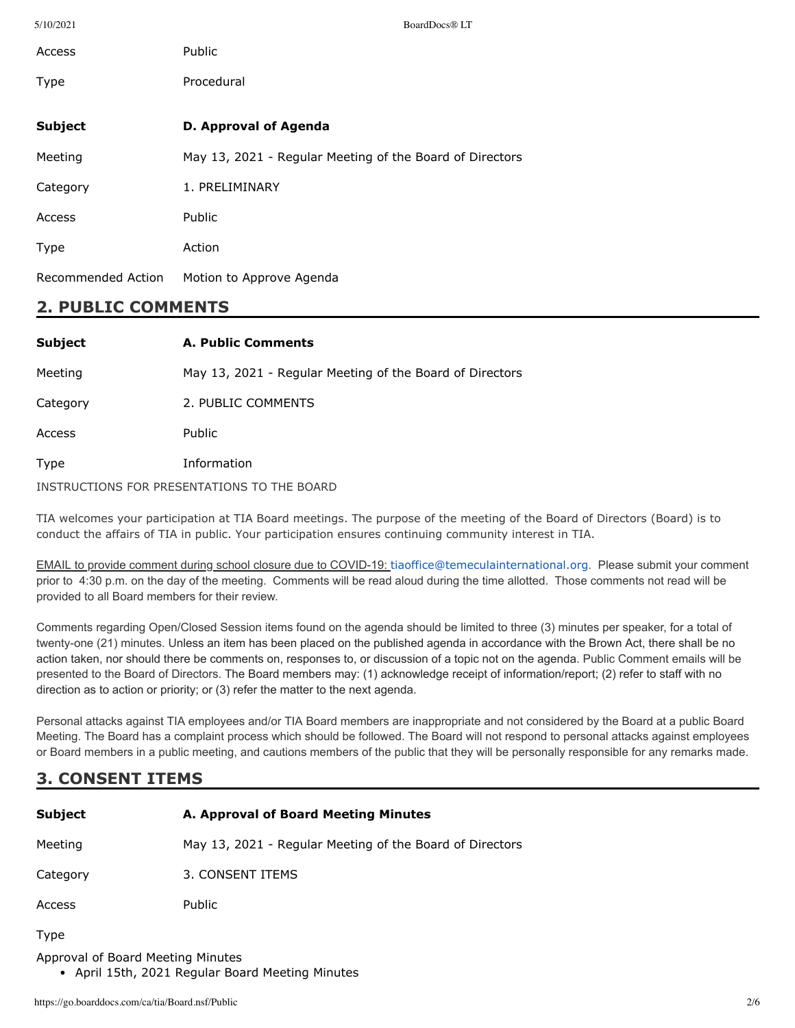| 5/10/2021          | BoardDocs® LT                                            |
|--------------------|----------------------------------------------------------|
| Access             | Public                                                   |
| Type               | Procedural                                               |
|                    |                                                          |
| <b>Subject</b>     | D. Approval of Agenda                                    |
| Meeting            | May 13, 2021 - Regular Meeting of the Board of Directors |
| Category           | 1. PRELIMINARY                                           |
| Access             | Public                                                   |
| <b>Type</b>        | Action                                                   |
| Recommended Action | Motion to Approve Agenda                                 |

# **2. PUBLIC COMMENTS**

| <b>Subject</b>                              | A. Public Comments                                       |
|---------------------------------------------|----------------------------------------------------------|
| Meeting                                     | May 13, 2021 - Regular Meeting of the Board of Directors |
| Category                                    | 2. PUBLIC COMMENTS                                       |
| Access                                      | <b>Public</b>                                            |
| Type                                        | Information                                              |
| INSTRUCTIONS FOR PRESENTATIONS TO THE BOARD |                                                          |

TIA welcomes your participation at TIA Board meetings. The purpose of the meeting of the Board of Directors (Board) is to conduct the affairs of TIA in public. Your participation ensures continuing community interest in TIA.

EMAIL to provide comment during school closure due to COVID-19: [tiaoffice@temeculainternational.org](mailto:tiaoffice@temeculainternational.org). Please submit your comment prior to 4:30 p.m. on the day of the meeting. Comments will be read aloud during the time allotted. Those comments not read will be provided to all Board members for their review.

Comments regarding Open/Closed Session items found on the agenda should be limited to three (3) minutes per speaker, for a total of twenty-one (21) minutes. Unless an item has been placed on the published agenda in accordance with the Brown Act, there shall be no action taken, nor should there be comments on, responses to, or discussion of a topic not on the agenda. Public Comment emails will be presented to the Board of Directors. The Board members may: (1) acknowledge receipt of information/report; (2) refer to staff with no direction as to action or priority; or (3) refer the matter to the next agenda.

Personal attacks against TIA employees and/or TIA Board members are inappropriate and not considered by the Board at a public Board Meeting. The Board has a complaint process which should be followed. The Board will not respond to personal attacks against employees or Board members in a public meeting, and cautions members of the public that they will be personally responsible for any remarks made.

# **3. CONSENT ITEMS**

| <b>Subject</b> | A. Approval of Board Meeting Minutes                     |
|----------------|----------------------------------------------------------|
| Meeting        | May 13, 2021 - Regular Meeting of the Board of Directors |
| Category       | 3. CONSENT ITEMS                                         |
| Access         | <b>Public</b>                                            |

Type

Approval of Board Meeting Minutes

April 15th, 2021 Regular Board Meeting Minutes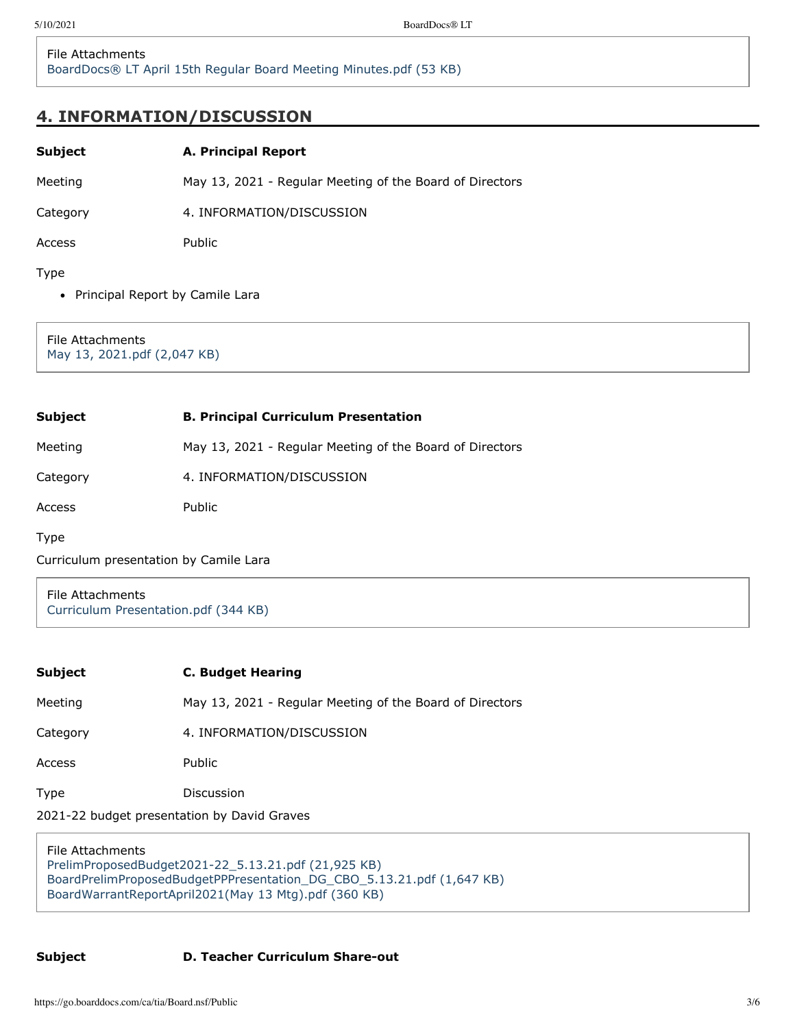# **4. INFORMATION/DISCUSSION**

| Subject | <b>A. Principal Report</b> |  |
|---------|----------------------------|--|
|         |                            |  |

Meeting May 13, 2021 - Regular Meeting of the Board of Directors

Category 4. INFORMATION/DISCUSSION

Access Public

Type

• Principal Report by Camile Lara

File Attachments [May 13, 2021.pdf \(2,047 KB\)](https://go.boarddocs.com/ca/tia/Board.nsf/files/C2WDF6654014/$file/May%2013%2C%202021.pdf)

| Subject  | <b>B. Principal Curriculum Presentation</b>              |
|----------|----------------------------------------------------------|
| Meeting  | May 13, 2021 - Regular Meeting of the Board of Directors |
| Category | 4. INFORMATION/DISCUSSION                                |
| Access   | <b>Public</b>                                            |
| Type     |                                                          |

Curriculum presentation by Camile Lara

File Attachments [Curriculum Presentation.pdf \(344 KB\)](https://go.boarddocs.com/ca/tia/Board.nsf/files/C2WH6H005D51/$file/Curriculum%20Presentation.pdf)

## **Subject C. Budget Hearing**

Meeting May 13, 2021 - Regular Meeting of the Board of Directors

Category 4. INFORMATION/DISCUSSION

Access Public

Type Discussion

2021-22 budget presentation by David Graves

File Attachments [PrelimProposedBudget2021-22\\_5.13.21.pdf \(21,925 KB\)](https://go.boarddocs.com/ca/tia/Board.nsf/files/C2WDNZ679425/$file/PrelimProposedBudget2021-22_5.13.21.pdf) [BoardPrelimProposedBudgetPPPresentation\\_DG\\_CBO\\_5.13.21.pdf \(1,647 KB\)](https://go.boarddocs.com/ca/tia/Board.nsf/files/C2WDP56799F5/$file/BoardPrelimProposedBudgetPPPresentation_DG_CBO_5.13.21.pdf) [BoardWarrantReportApril2021\(May 13 Mtg\).pdf \(360 KB\)](https://go.boarddocs.com/ca/tia/Board.nsf/files/C2WDP7679ACA/$file/BoardWarrantReportApril2021(May%2013%20Mtg).pdf)

## **Subject D. Teacher Curriculum Share-out**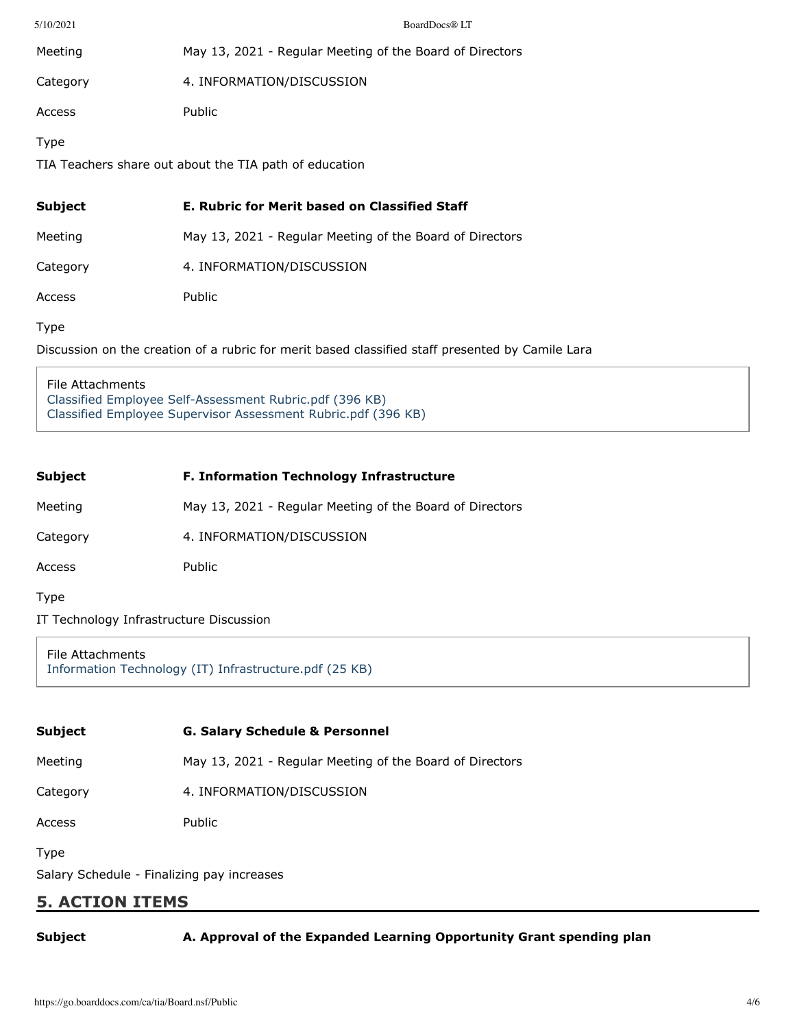| 5/10/2021                                              | BoardDocs® LT                                            |  |
|--------------------------------------------------------|----------------------------------------------------------|--|
| Meeting                                                | May 13, 2021 - Regular Meeting of the Board of Directors |  |
| Category                                               | 4. INFORMATION/DISCUSSION                                |  |
| Access                                                 | Public                                                   |  |
| Type                                                   |                                                          |  |
| TIA Teachers share out about the TIA path of education |                                                          |  |
|                                                        |                                                          |  |
| <b>Subject</b>                                         | E. Rubric for Merit based on Classified Staff            |  |
| Meeting                                                | May 13, 2021 - Regular Meeting of the Board of Directors |  |
| Category                                               | 4. INFORMATION/DISCUSSION                                |  |
| Access                                                 | Public                                                   |  |
| Type                                                   |                                                          |  |

File Attachments [Classified Employee Self-Assessment Rubric.pdf \(396 KB\)](https://go.boarddocs.com/ca/tia/Board.nsf/files/C2WFG472E784/$file/Classified%20Employee%20Self-Assessment%20Rubric.pdf) [Classified Employee Supervisor Assessment Rubric.pdf \(396 KB\)](https://go.boarddocs.com/ca/tia/Board.nsf/files/C2WFW67609E6/$file/Classified%20Employee%20Supervisor%20Assessment%20Rubric.pdf)

| Subject  | <b>F. Information Technology Infrastructure</b>          |
|----------|----------------------------------------------------------|
| Meeting  | May 13, 2021 - Regular Meeting of the Board of Directors |
| Category | 4. INFORMATION/DISCUSSION                                |
| Access   | Public                                                   |

Type

IT Technology Infrastructure Discussion

File Attachments [Information Technology \(IT\) Infrastructure.pdf \(25 KB\)](https://go.boarddocs.com/ca/tia/Board.nsf/files/C2STZY79DD3E/$file/Information%20Technology%20(IT)%20Infrastructure.pdf)

| <b>Subject</b>                                     | <b>G. Salary Schedule &amp; Personnel</b>                |
|----------------------------------------------------|----------------------------------------------------------|
| Meeting                                            | May 13, 2021 - Regular Meeting of the Board of Directors |
| Category                                           | 4. INFORMATION/DISCUSSION                                |
| Access                                             | Public                                                   |
| Type<br>Salary Schedule - Finalizing pay increases |                                                          |

# **5. ACTION ITEMS**

**Subject A. Approval of the Expanded Learning Opportunity Grant spending plan**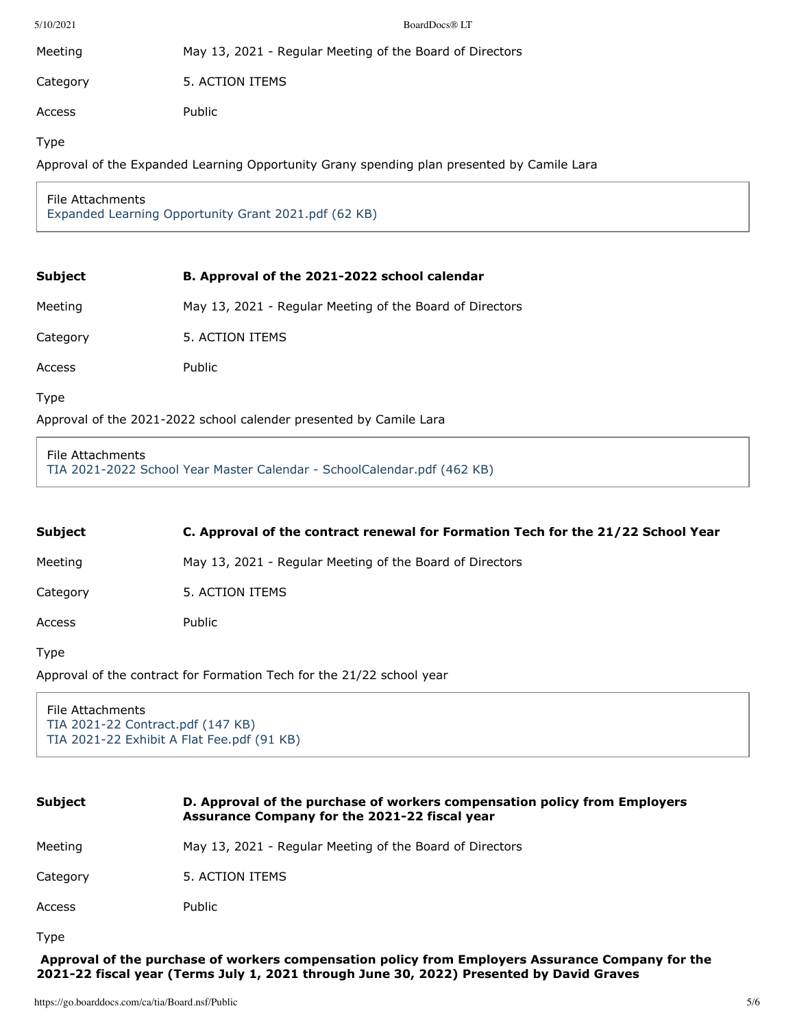| 5/10/2021 | BoardDocs® LT                                            |
|-----------|----------------------------------------------------------|
| Meeting   | May 13, 2021 - Regular Meeting of the Board of Directors |
| Category  | 5. ACTION ITEMS                                          |
| Access    | Public                                                   |
| Type      |                                                          |

Approval of the Expanded Learning Opportunity Grany spending plan presented by Camile Lara

## File Attachments [Expanded Learning Opportunity Grant 2021.pdf \(62 KB\)](https://go.boarddocs.com/ca/tia/Board.nsf/files/C2WDGC6589D5/$file/Expanded%20Learning%20Opportunity%20Grant%202021.pdf)

## **Subject B. Approval of the 2021-2022 school calendar**

Meeting May 13, 2021 - Regular Meeting of the Board of Directors

Category 5. ACTION ITEMS

Access Public

Type

Approval of the 2021-2022 school calender presented by Camile Lara

### File Attachments

[TIA 2021-2022 School Year Master Calendar - SchoolCalendar.pdf \(462 KB\)](https://go.boarddocs.com/ca/tia/Board.nsf/files/C2WFV27591CC/$file/TIA%202021-2022%20School%20Year%20Master%20Calendar%20-%20SchoolCalendar.pdf)

| Subject | C. Approval of the contract renewal for Formation Tech for the 21/22 School Year |
|---------|----------------------------------------------------------------------------------|
| Meeting | May 13, 2021 - Regular Meeting of the Board of Directors                         |

Category 5. ACTION ITEMS

Access Public

Type

Approval of the contract for Formation Tech for the 21/22 school year

File Attachments [TIA 2021-22 Contract.pdf \(147 KB\)](https://go.boarddocs.com/ca/tia/Board.nsf/files/C2WFFR72D8FD/$file/TIA%202021-22%20Contract.pdf) [TIA 2021-22 Exhibit A Flat Fee.pdf \(91 KB\)](https://go.boarddocs.com/ca/tia/Board.nsf/files/C2WFFT72D9BC/$file/TIA%202021-22%20Exhibit%20A%20Flat%20Fee.pdf)

| <b>Subject</b> | D. Approval of the purchase of workers compensation policy from Employers<br>Assurance Company for the 2021-22 fiscal year |
|----------------|----------------------------------------------------------------------------------------------------------------------------|
| Meeting        | May 13, 2021 - Regular Meeting of the Board of Directors                                                                   |
| Category       | 5. ACTION ITEMS                                                                                                            |
| Access         | Public                                                                                                                     |
| <b>Type</b>    |                                                                                                                            |

**Approval of the purchase of workers compensation policy from Employers Assurance Company for the 2021-22 fiscal year (Terms July 1, 2021 through June 30, 2022) Presented by David Graves**